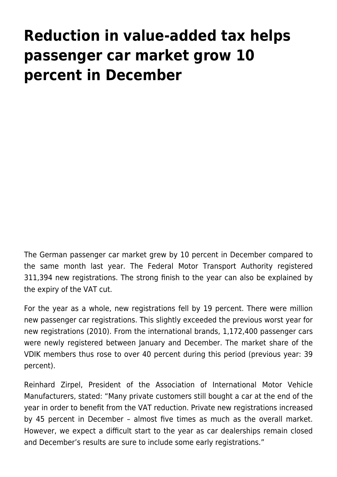## **[Reduction in value-added tax helps](https://www.vdik.de/en/2021/reduction-in-value-added-tax-helps-passenger-car-market-grow-10-percent-in-december/) [passenger car market grow 10](https://www.vdik.de/en/2021/reduction-in-value-added-tax-helps-passenger-car-market-grow-10-percent-in-december/) [percent in December](https://www.vdik.de/en/2021/reduction-in-value-added-tax-helps-passenger-car-market-grow-10-percent-in-december/)**

The German passenger car market grew by 10 percent in December compared to the same month last year. The Federal Motor Transport Authority registered 311,394 new registrations. The strong finish to the year can also be explained by the expiry of the VAT cut.

For the year as a whole, new registrations fell by 19 percent. There were million new passenger car registrations. This slightly exceeded the previous worst year for new registrations (2010). From the international brands, 1,172,400 passenger cars were newly registered between January and December. The market share of the VDIK members thus rose to over 40 percent during this period (previous year: 39 percent).

Reinhard Zirpel, President of the Association of International Motor Vehicle Manufacturers, stated: "Many private customers still bought a car at the end of the year in order to benefit from the VAT reduction. Private new registrations increased by 45 percent in December – almost five times as much as the overall market. However, we expect a difficult start to the year as car dealerships remain closed and December's results are sure to include some early registrations."